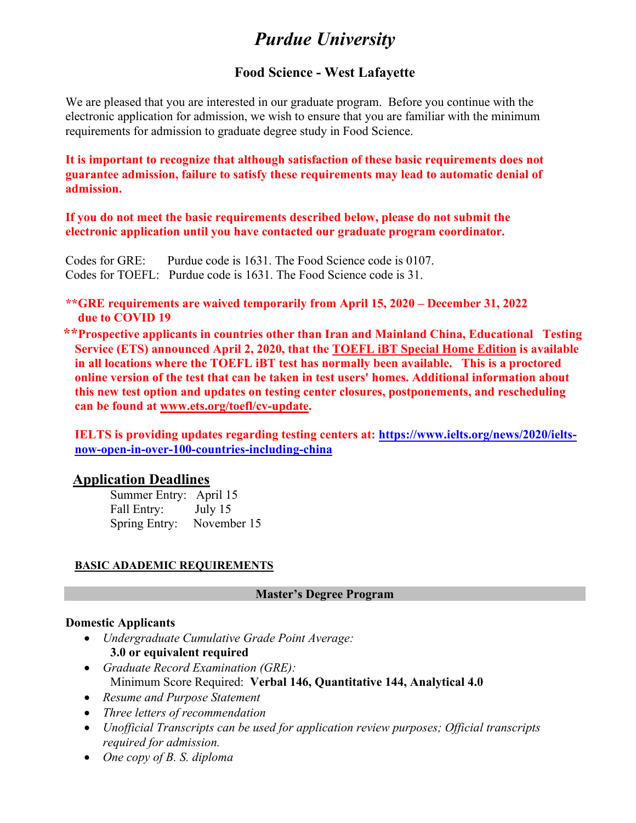# *Purdue University*

### **Food Science - West Lafayette**

We are pleased that you are interested in our graduate program. Before you continue with the electronic application for admission, we wish to ensure that you are familiar with the minimum requirements for admission to graduate degree study in Food Science.

**It is important to recognize that although satisfaction of these basic requirements does not guarantee admission, failure to satisfy these requirements may lead to automatic denial of admission.**

**If you do not meet the basic requirements described below, please do not submit the electronic application until you have contacted our graduate program coordinator.**

Codes for GRE: Purdue code is 1631. The Food Science code is 0107. Codes for TOEFL: Purdue code is 1631. The Food Science code is 31.

**\*\*GRE requirements are waived temporarily from April 15, 2020 – December 31, 2022 due to COVID 19**

 **\*\*Prospective applicants in countries other than Iran and Mainland China, Educational Testing Service (ETS) announced April 2, 2020, that the TOEFL iBT Special Home Edition is available in all locations where the TOEFL iBT test has normally been available. This is a proctored online version of the test that can be taken in test users' homes. Additional information about this new test option and updates on testing center closures, postponements, and rescheduling can be found at [www.ets.org/toefl/cv-update.](http://www.ets.org/toefl/cv-update)**

**IELTS is providing updates regarding testing centers at: [https://www.ielts.org/news/2020/ielts](https://www.ielts.org/news/2020/ielts-now-open-in-over-100-countries-including-china)[now-open-in-over-100-countries-including-china](https://www.ielts.org/news/2020/ielts-now-open-in-over-100-countries-including-china)**

### **Application Deadlines**

Summer Entry: April 15 Fall Entry: July 15 Spring Entry: November 15

### **BASIC ADADEMIC REQUIREMENTS**

#### **Master's Degree Program**

#### **Domestic Applicants**

- *Undergraduate Cumulative Grade Point Average:* **3.0 or equivalent required**
- *Graduate Record Examination (GRE):* Minimum Score Required: **Verbal 146, Quantitative 144, Analytical 4.0**
- *Resume and Purpose Statement*
- *Three letters of recommendation*
- *Unofficial Transcripts can be used for application review purposes; Official transcripts required for admission.*
- *One copy of B. S. diploma*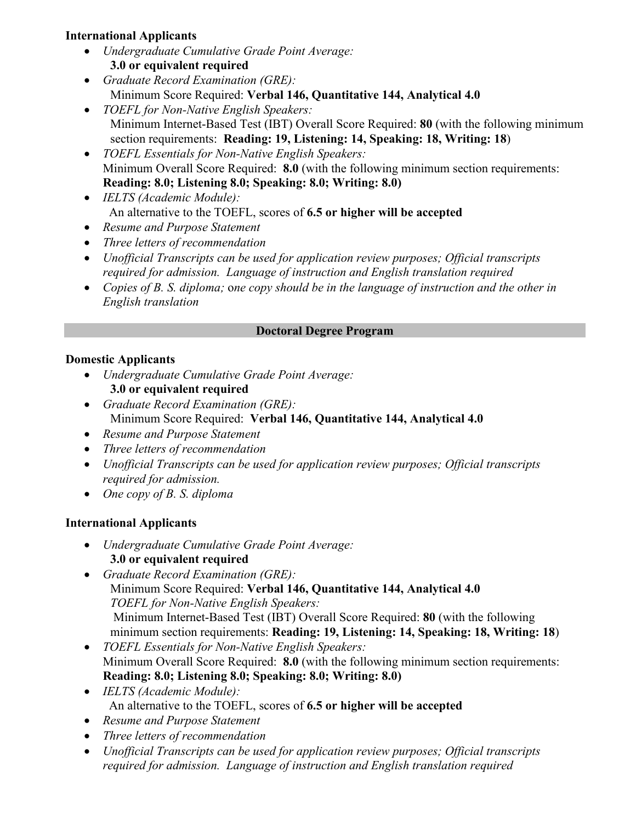### **International Applicants**

- *Undergraduate Cumulative Grade Point Average:* **3.0 or equivalent required**
- *Graduate Record Examination (GRE):* Minimum Score Required: **Verbal 146, Quantitative 144, Analytical 4.0**
- *TOEFL for Non-Native English Speakers:* Minimum Internet-Based Test (IBT) Overall Score Required: **80** (with the following minimum section requirements: **Reading: 19, Listening: 14, Speaking: 18, Writing: 18**)
- *TOEFL Essentials for Non-Native English Speakers:* Minimum Overall Score Required: **8.0** (with the following minimum section requirements: **Reading: 8.0; Listening 8.0; Speaking: 8.0; Writing: 8.0)**
- *IELTS (Academic Module):*  An alternative to the TOEFL, scores of **6.5 or higher will be accepted**
- *Resume and Purpose Statement*
- *Three letters of recommendation*
- *Unofficial Transcripts can be used for application review purposes; Official transcripts required for admission. Language of instruction and English translation required*
- *Copies of B. S. diploma;* o*ne copy should be in the language of instruction and the other in English translation*

## **Doctoral Degree Program**

# **Domestic Applicants**

- *Undergraduate Cumulative Grade Point Average:* **3.0 or equivalent required**
- *Graduate Record Examination (GRE):* Minimum Score Required: **Verbal 146, Quantitative 144, Analytical 4.0**
- *Resume and Purpose Statement*
- *Three letters of recommendation*
- *Unofficial Transcripts can be used for application review purposes; Official transcripts required for admission.*
- *One copy of B. S. diploma*

# **International Applicants**

- *Undergraduate Cumulative Grade Point Average:* **3.0 or equivalent required**
- *Graduate Record Examination (GRE):* Minimum Score Required: **Verbal 146, Quantitative 144, Analytical 4.0** *TOEFL for Non-Native English Speakers:* Minimum Internet-Based Test (IBT) Overall Score Required: **80** (with the following minimum section requirements: **Reading: 19, Listening: 14, Speaking: 18, Writing: 18**)
- *TOEFL Essentials for Non-Native English Speakers:* Minimum Overall Score Required: **8.0** (with the following minimum section requirements: **Reading: 8.0; Listening 8.0; Speaking: 8.0; Writing: 8.0)**
- *IELTS (Academic Module):*  An alternative to the TOEFL, scores of **6.5 or higher will be accepted**
- *Resume and Purpose Statement*
- *Three letters of recommendation*
- *Unofficial Transcripts can be used for application review purposes; Official transcripts required for admission. Language of instruction and English translation required*